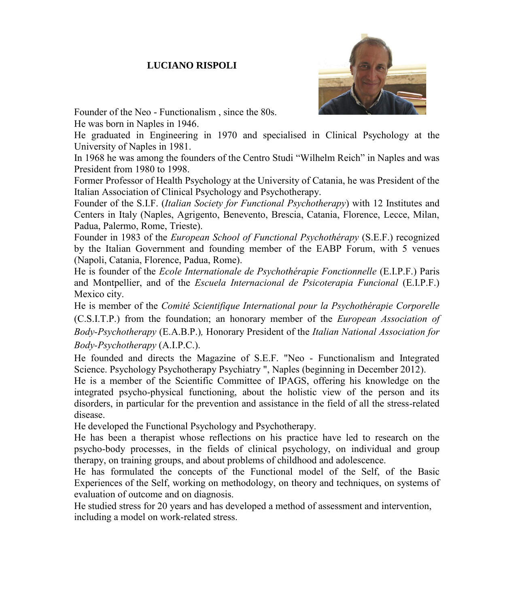## **LUCIANO RISPOLI**



Founder of the Neo - Functionalism , since the 80s. He was born in Naples in 1946.

He graduated in Engineering in 1970 and specialised in Clinical Psychology at the University of Naples in 1981.

In 1968 he was among the founders of the Centro Studi "Wilhelm Reich" in Naples and was President from 1980 to 1998.

Former Professor of Health Psychology at the University of Catania, he was President of the Italian Association of Clinical Psychology and Psychotherapy.

Founder of the S.I.F. (*Italian Society for Functional Psychotherapy*) with 12 Institutes and Centers in Italy (Naples, Agrigento, Benevento, Brescia, Catania, Florence, Lecce, Milan, Padua, Palermo, Rome, Trieste).

Founder in 1983 of the *European School of Functional Psychothérapy* (S.E.F.) recognized by the Italian Government and founding member of the EABP Forum, with 5 venues (Napoli, Catania, Florence, Padua, Rome).

He is founder of the *Ecole Internationale de Psychothérapie Fonctionnelle* (E.I.P.F.) Paris and Montpellier, and of the *Escuela Internacional de Psicoterapia Funcional* (E.I.P.F.) Mexico city.

He is member of the *Comité Scientifique International pour la Psychothérapie Corporelle* (C.S.I.T.P.) from the foundation; an honorary member of the *European Association of Body-Psychotherapy* (E.A.B.P.)*,* Honorary President of the *Italian National Association for Body-Psychotherapy* (A.I.P.C.).

He founded and directs the Magazine of S.E.F. "Neo - Functionalism and Integrated Science. Psychology Psychotherapy Psychiatry ", Naples (beginning in December 2012).

He is a member of the Scientific Committee of IPAGS, offering his knowledge on the integrated psycho-physical functioning, about the holistic view of the person and its disorders, in particular for the prevention and assistance in the field of all the stress-related disease.

He developed the Functional Psychology and Psychotherapy.

He has been a therapist whose reflections on his practice have led to research on the psycho-body processes, in the fields of clinical psychology, on individual and group therapy, on training groups, and about problems of childhood and adolescence.

He has formulated the concepts of the Functional model of the Self, of the Basic Experiences of the Self, working on methodology, on theory and techniques, on systems of evaluation of outcome and on diagnosis.

He studied stress for 20 years and has developed a method of assessment and intervention, including a model on work-related stress.